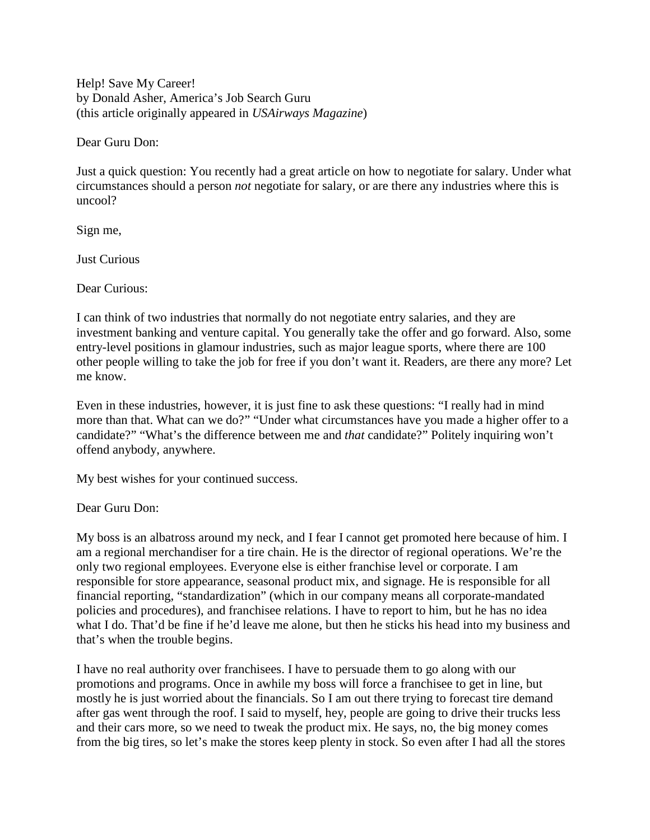Help! Save My Career! by Donald Asher, America's Job Search Guru (this article originally appeared in *USAirways Magazine*)

Dear Guru Don:

Just a quick question: You recently had a great article on how to negotiate for salary. Under what circumstances should a person *not* negotiate for salary, or are there any industries where this is uncool?

Sign me,

Just Curious

Dear Curious:

I can think of two industries that normally do not negotiate entry salaries, and they are investment banking and venture capital. You generally take the offer and go forward. Also, some entry-level positions in glamour industries, such as major league sports, where there are 100 other people willing to take the job for free if you don't want it. Readers, are there any more? Let me know.

Even in these industries, however, it is just fine to ask these questions: "I really had in mind more than that. What can we do?" "Under what circumstances have you made a higher offer to a candidate?" "What's the difference between me and *that* candidate?" Politely inquiring won't offend anybody, anywhere.

My best wishes for your continued success.

Dear Guru Don:

My boss is an albatross around my neck, and I fear I cannot get promoted here because of him. I am a regional merchandiser for a tire chain. He is the director of regional operations. We're the only two regional employees. Everyone else is either franchise level or corporate. I am responsible for store appearance, seasonal product mix, and signage. He is responsible for all financial reporting, "standardization" (which in our company means all corporate-mandated policies and procedures), and franchisee relations. I have to report to him, but he has no idea what I do. That'd be fine if he'd leave me alone, but then he sticks his head into my business and that's when the trouble begins.

I have no real authority over franchisees. I have to persuade them to go along with our promotions and programs. Once in awhile my boss will force a franchisee to get in line, but mostly he is just worried about the financials. So I am out there trying to forecast tire demand after gas went through the roof. I said to myself, hey, people are going to drive their trucks less and their cars more, so we need to tweak the product mix. He says, no, the big money comes from the big tires, so let's make the stores keep plenty in stock. So even after I had all the stores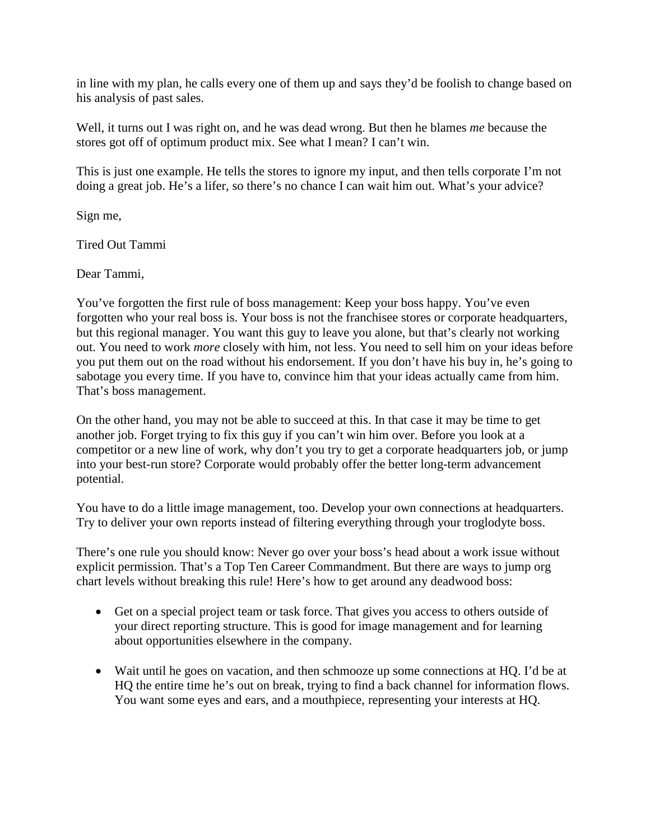in line with my plan, he calls every one of them up and says they'd be foolish to change based on his analysis of past sales.

Well, it turns out I was right on, and he was dead wrong. But then he blames *me* because the stores got off of optimum product mix. See what I mean? I can't win.

This is just one example. He tells the stores to ignore my input, and then tells corporate I'm not doing a great job. He's a lifer, so there's no chance I can wait him out. What's your advice?

Sign me,

Tired Out Tammi

Dear Tammi,

You've forgotten the first rule of boss management: Keep your boss happy. You've even forgotten who your real boss is. Your boss is not the franchisee stores or corporate headquarters, but this regional manager. You want this guy to leave you alone, but that's clearly not working out. You need to work *more* closely with him, not less. You need to sell him on your ideas before you put them out on the road without his endorsement. If you don't have his buy in, he's going to sabotage you every time. If you have to, convince him that your ideas actually came from him. That's boss management.

On the other hand, you may not be able to succeed at this. In that case it may be time to get another job. Forget trying to fix this guy if you can't win him over. Before you look at a competitor or a new line of work, why don't you try to get a corporate headquarters job, or jump into your best-run store? Corporate would probably offer the better long-term advancement potential.

You have to do a little image management, too. Develop your own connections at headquarters. Try to deliver your own reports instead of filtering everything through your troglodyte boss.

There's one rule you should know: Never go over your boss's head about a work issue without explicit permission. That's a Top Ten Career Commandment. But there are ways to jump org chart levels without breaking this rule! Here's how to get around any deadwood boss:

- Get on a special project team or task force. That gives you access to others outside of your direct reporting structure. This is good for image management and for learning about opportunities elsewhere in the company.
- Wait until he goes on vacation, and then schmooze up some connections at HQ. I'd be at HQ the entire time he's out on break, trying to find a back channel for information flows. You want some eyes and ears, and a mouthpiece, representing your interests at HQ.